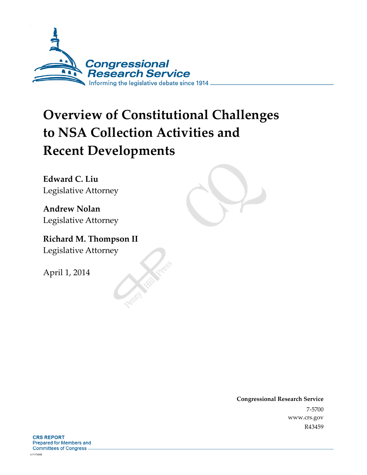

# **Overview of Constitutional Challenges to NSA Collection Activities and Recent Developments**

**Edward C. Liu**  Legislative Attorney

**Andrew Nolan**  Legislative Attorney

**Richard M. Thompson II**  Legislative Attorney

April 1, 2014

**Congressional Research Service**  7-5700 www.crs.gov R43459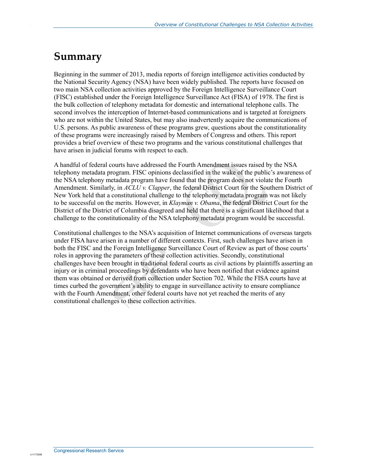## **Summary**

.

Beginning in the summer of 2013, media reports of foreign intelligence activities conducted by the National Security Agency (NSA) have been widely published. The reports have focused on two main NSA collection activities approved by the Foreign Intelligence Surveillance Court (FISC) established under the Foreign Intelligence Surveillance Act (FISA) of 1978. The first is the bulk collection of telephony metadata for domestic and international telephone calls. The second involves the interception of Internet-based communications and is targeted at foreigners who are not within the United States, but may also inadvertently acquire the communications of U.S. persons. As public awareness of these programs grew, questions about the constitutionality of these programs were increasingly raised by Members of Congress and others. This report provides a brief overview of these two programs and the various constitutional challenges that have arisen in judicial forums with respect to each.

A handful of federal courts have addressed the Fourth Amendment issues raised by the NSA telephony metadata program. FISC opinions declassified in the wake of the public's awareness of the NSA telephony metadata program have found that the program does not violate the Fourth Amendment. Similarly, in *ACLU v. Clapper*, the federal District Court for the Southern District of New York held that a constitutional challenge to the telephony metadata program was not likely to be successful on the merits. However, in *Klayman v. Obama*, the federal District Court for the District of the District of Columbia disagreed and held that there is a significant likelihood that a challenge to the constitutionality of the NSA telephony metadata program would be successful.

Constitutional challenges to the NSA's acquisition of Internet communications of overseas targets under FISA have arisen in a number of different contexts. First, such challenges have arisen in both the FISC and the Foreign Intelligence Surveillance Court of Review as part of those courts' roles in approving the parameters of these collection activities. Secondly, constitutional challenges have been brought in traditional federal courts as civil actions by plaintiffs asserting an injury or in criminal proceedings by defendants who have been notified that evidence against them was obtained or derived from collection under Section 702. While the FISA courts have at times curbed the government's ability to engage in surveillance activity to ensure compliance with the Fourth Amendment, other federal courts have not yet reached the merits of any constitutional challenges to these collection activities.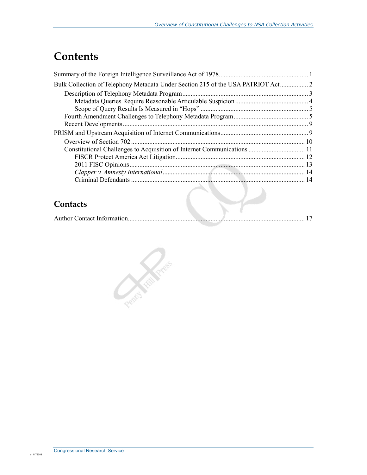# **Contents**

.

| Bulk Collection of Telephony Metadata Under Section 215 of the USA PATRIOT Act 2 |  |
|----------------------------------------------------------------------------------|--|
|                                                                                  |  |
|                                                                                  |  |
|                                                                                  |  |
|                                                                                  |  |
|                                                                                  |  |
|                                                                                  |  |
|                                                                                  |  |
| Constitutional Challenges to Acquisition of Internet Communications  11          |  |
|                                                                                  |  |
|                                                                                  |  |
|                                                                                  |  |
|                                                                                  |  |

### **Contacts**

|--|--|

**Contraction Contraction**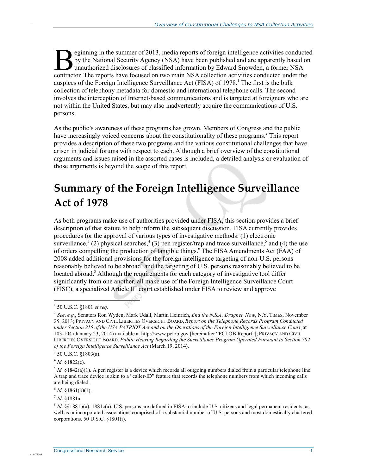eginning in the summer of 2013, media reports of foreign intelligence activities conducted by the National Security Agency (NSA) have been published and are apparently based on unauthorized disclosures of classified information by Edward Snowden, a former NSA Experiming in the summer of 2013, media reports of foreign intelligence activities conducte by the National Security Agency (NSA) have been published and are apparently based or unauthorized disclosures of classified infor auspices of the Foreign Intelligence Surveillance Act (FISA) of  $1978$ .<sup>1</sup> The first is the bulk collection of telephony metadata for domestic and international telephone calls. The second involves the interception of Internet-based communications and is targeted at foreigners who are not within the United States, but may also inadvertently acquire the communications of U.S. persons.

As the public's awareness of these programs has grown, Members of Congress and the public have increasingly voiced concerns about the constitutionality of these programs.<sup>2</sup> This report provides a description of these two programs and the various constitutional challenges that have arisen in judicial forums with respect to each. Although a brief overview of the constitutional arguments and issues raised in the assorted cases is included, a detailed analysis or evaluation of those arguments is beyond the scope of this report.

# **Summary of the Foreign Intelligence Surveillance Act of 1978**

As both programs make use of authorities provided under FISA, this section provides a brief description of that statute to help inform the subsequent discussion. FISA currently provides procedures for the approval of various types of investigative methods: (1) electronic surveillance,<sup>3</sup> (2) physical searches,<sup>4</sup> (3) pen register/trap and trace surveillance,<sup>5</sup> and (4) the use of orders compelling the production of tangible things.<sup>6</sup> The FISA Amendments Act (FAA) of 2008 added additional provisions for the foreign intelligence targeting of non-U.S. persons reasonably believed to be abroad<sup>7</sup> and the targeting of U.S. persons reasonably believed to be located abroad.<sup>8</sup> Although the requirements for each category of investigative tool differ significantly from one another, all make use of the Foreign Intelligence Surveillance Court (FISC), a specialized Article III court established under FISA to review and approve

.

 $6$  *Id.* §1861(b)(1).

 1 50 U.S.C. §1801 *et seq.* 

<sup>2</sup> *See*, *e.g.*, Senators Ron Wyden, Mark Udall, Martin Heinrich, *End the N.S.A. Dragnet, Now*, N.Y. TIMES, November 25, 2013; PRIVACY AND CIVIL LIBERTIES OVERSIGHT BOARD, *Report on the Telephone Records Program Conducted under Section 215 of the USA PATRIOT Act and on the Operations of the Foreign Intelligence Surveillance Court*, at 103-104 (January 23, 2014) available at http://www.pclob.gov [hereinafter "PCLOB Report"]; PRIVACY AND CIVIL LIBERTIES OVERSIGHT BOARD, *Public Hearing Regarding the Surveillance Program Operated Pursuant to Section 702 of the Foreign Intelligence Surveillance Act* (March 19, 2014).

 $3$  50 U.S.C. §1803(a).

 $4$  *Id.*  $$1822(c)$ .

<sup>&</sup>lt;sup>5</sup> *Id.* §1842(a)(1). A pen register is a device which records all outgoing numbers dialed from a particular telephone line. A trap and trace device is akin to a "caller-ID" feature that records the telephone numbers from which incoming calls are being dialed.

<sup>7</sup> *Id.* §1881a.

<sup>&</sup>lt;sup>8</sup> *Id.* §§1881b(a), 1881c(a). U.S. persons are defined in FISA to include U.S. citizens and legal permanent residents, as well as unincorporated associations comprised of a substantial number of U.S. persons and most domestically chartered corporations.  $50$  U.S.C.  $§1801(i)$ .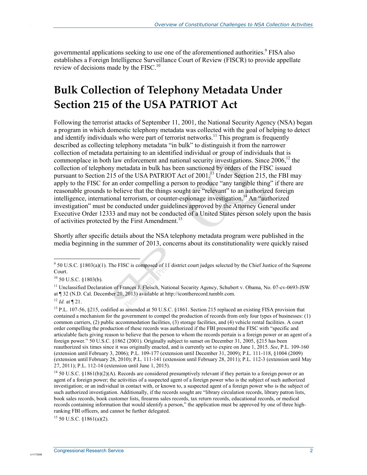governmental applications seeking to use one of the aforementioned authorities.<sup>9</sup> FISA also establishes a Foreign Intelligence Surveillance Court of Review (FISCR) to provide appellate review of decisions made by the FISC.<sup>10</sup>

# **Bulk Collection of Telephony Metadata Under Section 215 of the USA PATRIOT Act**

Following the terrorist attacks of September 11, 2001, the National Security Agency (NSA) began a program in which domestic telephony metadata was collected with the goal of helping to detect and identify individuals who were part of terrorist networks.<sup>11</sup> This program is frequently described as collecting telephony metadata "in bulk" to distinguish it from the narrower collection of metadata pertaining to an identified individual or group of individuals that is commonplace in both law enforcement and national security investigations. Since  $2006$ <sup>12</sup>, the collection of telephony metadata in bulk has been sanctioned by orders of the FISC issued pursuant to Section 215 of the USA PATRIOT Act of 2001.<sup>13</sup> Under Section 215, the FBI may apply to the FISC for an order compelling a person to produce "any tangible thing" if there are reasonable grounds to believe that the things sought are "relevant" to an authorized foreign intelligence, international terrorism, or counter-espionage investigation.<sup>14</sup> An "authorized" investigation" must be conducted under guidelines approved by the Attorney General under Executive Order 12333 and may not be conducted of a United States person solely upon the basis of activities protected by the First Amendment.<sup>15</sup>

Shortly after specific details about the NSA telephony metadata program were published in the media beginning in the summer of 2013, concerns about its constitutionality were quickly raised

 $10$  50 U.S.C. §1803(b).

1

.

 $15$  50 U.S.C. §1861(a)(2).

 $9$  50 U.S.C. §1803(a)(1). The FISC is composed of 11 district court judges selected by the Chief Justice of the Supreme Court.

<sup>&</sup>lt;sup>11</sup> Unclassified Declaration of Frances J. Fleisch, National Security Agency, Schubert v. Obama, No. 07-cv-0693-JSW at ¶ 32 (N.D. Cal. December 20, 2013) available at http://icontherecord.tumblr.com.

<sup>12</sup> *Id.* at ¶ 21.

<sup>&</sup>lt;sup>13</sup> P.L. 107-56, §215, codified as amended at 50 U.S.C. §1861. Section 215 replaced an existing FISA provision that contained a mechanism for the government to compel the production of records from only four types of businesses: (1) common carriers, (2) public accommodation facilities, (3) storage facilities, and (4) vehicle rental facilities. A court order compelling the production of these records was authorized if the FBI presented the FISC with "specific and articulable facts giving reason to believe that the person to whom the records pertain is a foreign power or an agent of a foreign power." 50 U.S.C. §1862 (2001). Originally subject to sunset on December 31, 2005, §215 has been reauthorized six times since it was originally enacted, and is currently set to expire on June 1, 2015. *See*, P.L. 109-160 (extension until February 3, 2006); P.L. 109-177 (extension until December 31, 2009); P.L. 111-118, §1004 (2009) (extension until February 28, 2010); P.L. 111-141 (extension until February 28, 2011); P.L. 112-3 (extension until May 27, 2011); P.L. 112-14 (extension until June 1, 2015).

<sup>&</sup>lt;sup>14</sup> 50 U.S.C. §1861(b)(2)(A). Records are considered presumptively relevant if they pertain to a foreign power or an agent of a foreign power; the activities of a suspected agent of a foreign power who is the subject of such authorized investigation; or an individual in contact with, or known to, a suspected agent of a foreign power who is the subject of such authorized investigation. Additionally, if the records sought are "library circulation records, library patron lists, book sales records, book customer lists, firearms sales records, tax return records, educational records, or medical records containing information that would identify a person," the application must be approved by one of three highranking FBI officers, and cannot be further delegated.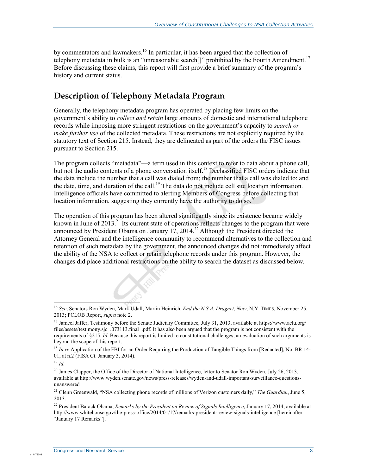by commentators and lawmakers.<sup>16</sup> In particular, it has been argued that the collection of telephony metadata in bulk is an "unreasonable search<sup>[]"</sup> prohibited by the Fourth Amendment.<sup>17</sup> Before discussing these claims, this report will first provide a brief summary of the program's history and current status.

### **Description of Telephony Metadata Program**

Generally, the telephony metadata program has operated by placing few limits on the government's ability to *collect and retain* large amounts of domestic and international telephone records while imposing more stringent restrictions on the government's capacity to *search or make further use* of the collected metadata. These restrictions are not explicitly required by the statutory text of Section 215. Instead, they are delineated as part of the orders the FISC issues pursuant to Section 215.

The program collects "metadata"—a term used in this context to refer to data about a phone call, but not the audio contents of a phone conversation itself.<sup>18</sup> Declassified FISC orders indicate that the data include the number that a call was dialed from; the number that a call was dialed to; and the date, time, and duration of the call.<sup>19</sup> The data do not include cell site location information. Intelligence officials have committed to alerting Members of Congress before collecting that location information, suggesting they currently have the authority to do so.<sup>20</sup>

The operation of this program has been altered significantly since its existence became widely known in June of 2013.<sup>21</sup> Its current state of operations reflects changes to the program that were announced by President Obama on January  $17, 2014$ <sup>22</sup> Although the President directed the Attorney General and the intelligence community to recommend alternatives to the collection and retention of such metadata by the government, the announced changes did not immediately affect the ability of the NSA to collect or retain telephone records under this program. However, the changes did place additional restrictions on the ability to search the dataset as discussed below.

c1117300

1

<sup>16</sup> *See*, Senators Ron Wyden, Mark Udall, Martin Heinrich, *End the N.S.A. Dragnet, Now*, N.Y. TIMES, November 25, 2013; PCLOB Report, *supra* note 2.

<sup>&</sup>lt;sup>17</sup> Jameel Jaffer, Testimony before the Senate Judiciary Committee, July 31, 2013, available at https://www.aclu.org/ files/assets/testimony.sjc\_.073113.final\_.pdf. It has also been argued that the program is not consistent with the requirements of §215. *Id.* Because this report is limited to constitutional challenges, an evaluation of such arguments is beyond the scope of this report.

<sup>&</sup>lt;sup>18</sup> *In re* Application of the FBI for an Order Requiring the Production of Tangible Things from [Redacted], No. BR 14-01, at n.2 (FISA Ct. January 3, 2014).

<sup>19</sup> *Id.*

<sup>&</sup>lt;sup>20</sup> James Clapper, the Office of the Director of National Intelligence, letter to Senator Ron Wyden, July 26, 2013, available at http://www.wyden.senate.gov/news/press-releases/wyden-and-udall-important-surveillance-questionsunanswered

<sup>21</sup> Glenn Greenwald, "NSA collecting phone records of millions of Verizon customers daily," *The Guardian*, June 5, 2013.

<sup>22</sup> President Barack Obama, *Remarks by the President on Review of Signals Intelligence*, January 17, 2014, available at http://www.whitehouse.gov/the-press-office/2014/01/17/remarks-president-review-signals-intelligence [hereinafter "January 17 Remarks"].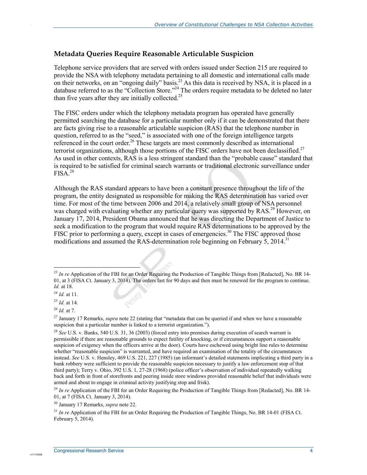#### **Metadata Queries Require Reasonable Articulable Suspicion**

Telephone service providers that are served with orders issued under Section 215 are required to provide the NSA with telephony metadata pertaining to all domestic and international calls made on their networks, on an "ongoing daily" basis.<sup>23</sup> As this data is received by NSA, it is placed in a database referred to as the "Collection Store."<sup>24</sup> The orders require metadata to be deleted no later than five years after they are initially collected.<sup>25</sup>

The FISC orders under which the telephony metadata program has operated have generally permitted searching the database for a particular number only if it can be demonstrated that there are facts giving rise to a reasonable articulable suspicion (RAS) that the telephone number in question, referred to as the "seed," is associated with one of the foreign intelligence targets referenced in the court order.<sup>26</sup> These targets are most commonly described as international terrorist organizations, although those portions of the FISC orders have not been declassified.<sup>27</sup> As used in other contexts, RAS is a less stringent standard than the "probable cause" standard that is required to be satisfied for criminal search warrants or traditional electronic surveillance under  $FISA.<sup>28</sup>$ 

Although the RAS standard appears to have been a constant presence throughout the life of the program, the entity designated as responsible for making the RAS determination has varied over time. For most of the time between 2006 and 2014, a relatively small group of NSA personnel was charged with evaluating whether any particular query was supported by RAS.<sup>29</sup> However, on January 17, 2014, President Obama announced that he was directing the Department of Justice to seek a modification to the program that would require RAS determinations to be approved by the FISC prior to performing a query, except in cases of emergencies.<sup>30</sup> The FISC approved those modifications and assumed the RAS-determination role beginning on February 5, 2014.<sup>31</sup>

.

<sup>25</sup> *Id.* at 14.

<sup>26</sup> *Id.* at 7.

<sup>29</sup> *In re* Application of the FBI for an Order Requiring the Production of Tangible Things from [Redacted], No. BR 14-01, at 7 (FISA Ct. January 3, 2014).

<sup>1</sup> <sup>23</sup> *In re* Application of the FBI for an Order Requiring the Production of Tangible Things from [Redacted], No. BR 14- 01, at 3 (FISA Ct. January 3, 2014). The orders last for 90 days and then must be renewed for the program to continue. *Id.* at 18.

<sup>24</sup> *Id.* at 11.

<sup>27</sup> January 17 Remarks, *supra* note 22 (stating that "metadata that can be queried if and when we have a reasonable suspicion that a particular number is linked to a terrorist organization.").

<sup>28</sup> *See* U.S. v. Banks, 540 U.S. 31, 36 (2003) (forced entry into premises during execution of search warrant is permissible if there are reasonable grounds to expect futility of knocking, or if circumstances support a reasonable suspicion of exigency when the officers arrive at the door). Courts have eschewed using bright line rules to determine whether "reasonable suspicion" is warranted, and have required an examination of the totality of the circumstances instead. *See* U.S. v. Hensley, 469 U.S. 221, 227 (1985) (an informant's detailed statements implicating a third party in a bank robbery were sufficient to provide the reasonable suspicion necessary to justify a law enforcement stop of that third party); Terry v. Ohio, 392 U.S. 1, 27-28 (1968) (police officer's observation of individual repeatedly walking back and forth in front of storefronts and peering inside store windows provided reasonable belief that individuals were armed and about to engage in criminal activity justifying stop and frisk).

<sup>30</sup> January 17 Remarks, *supra* note 22.

<sup>&</sup>lt;sup>31</sup> *In re* Application of the FBI for an Order Requiring the Production of Tangible Things, No. BR 14-01 (FISA Ct. February 5, 2014).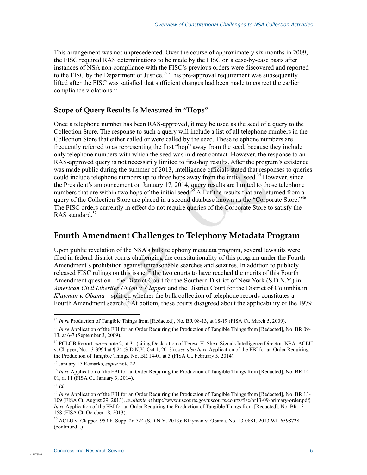This arrangement was not unprecedented. Over the course of approximately six months in 2009, the FISC required RAS determinations to be made by the FISC on a case-by-case basis after instances of NSA non-compliance with the FISC's previous orders were discovered and reported to the FISC by the Department of Justice.<sup>32</sup> This pre-approval requirement was subsequently lifted after the FISC was satisfied that sufficient changes had been made to correct the earlier compliance violations.33

#### **Scope of Query Results Is Measured in "Hops"**

Once a telephone number has been RAS-approved, it may be used as the seed of a query to the Collection Store. The response to such a query will include a list of all telephone numbers in the Collection Store that either called or were called by the seed. These telephone numbers are frequently referred to as representing the first "hop" away from the seed, because they include only telephone numbers with which the seed was in direct contact. However, the response to an RAS-approved query is not necessarily limited to first-hop results. After the program's existence was made public during the summer of 2013, intelligence officials stated that responses to queries could include telephone numbers up to three hops away from the initial seed.<sup>34</sup> However, since the President's announcement on January 17, 2014, query results are limited to those telephone numbers that are within two hops of the initial seed.<sup>35</sup> All of the results that are returned from a query of the Collection Store are placed in a second database known as the "Corporate Store."<sup>36</sup> The FISC orders currently in effect do not require queries of the Corporate Store to satisfy the RAS standard.<sup>37</sup>

#### **Fourth Amendment Challenges to Telephony Metadata Program**

Upon public revelation of the NSA's bulk telephony metadata program, several lawsuits were filed in federal district courts challenging the constitutionality of this program under the Fourth Amendment's prohibition against unreasonable searches and seizures. In addition to publicly released FISC rulings on this issue,<sup>38</sup> the two courts to have reached the merits of this Fourth Amendment question—the District Court for the Southern District of New York (S.D.N.Y.) in *American Civil Liberties Union v. Clapper* and the District Court for the District of Columbia in *Klayman v. Obama*—split on whether the bulk collection of telephone records constitutes a Fourth Amendment search.<sup>39</sup> At bottom, these courts disagreed about the applicability of the 1979

c1117300

1

<sup>32</sup> *In re* Production of Tangible Things from [Redacted], No. BR 08-13, at 18-19 (FISA Ct. March 5, 2009).

<sup>33</sup> *In re* Application of the FBI for an Order Requiring the Production of Tangible Things from [Redacted], No. BR 09- 13, at 6-7 (September 3, 2009).

<sup>&</sup>lt;sup>34</sup> PCLOB Report, *supra* note 2, at 31 (citing Declaration of Teresa H. Shea, Signals Intelligence Director, NSA, ACLU v. Clapper, No. 13-3994 at ¶ 24 (S.D.N.Y. Oct 1, 2013)); *see also In re* Application of the FBI for an Order Requiring the Production of Tangible Things, No. BR 14-01 at 3 (FISA Ct. February 5, 2014).

<sup>35</sup> January 17 Remarks, *supra* note 22.

<sup>36</sup> *In re* Application of the FBI for an Order Requiring the Production of Tangible Things from [Redacted], No. BR 14- 01, at 11 (FISA Ct. January 3, 2014).

<sup>37</sup> *Id.*

<sup>38</sup> *In re* Application of the FBI for an Order Requiring the Production of Tangible Things from [Redacted], No. BR 13- 109 (FISA Ct. August 29, 2013), *available at* http://www.uscourts.gov/uscourts/courts/fisc/br13-09-primary-order.pdf; *In re* Application of the FBI for an Order Requiring the Production of Tangible Things from [Redacted], No. BR 13- 158 (FISA Ct. October 18, 2013).

<sup>39</sup> ACLU v. Clapper, 959 F. Supp. 2d 724 (S.D.N.Y. 2013); Klayman v. Obama, No. 13-0881, 2013 WL 6598728 (continued...)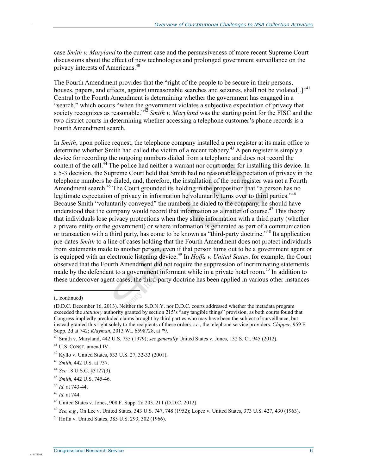case *Smith v. Maryland* to the current case and the persuasiveness of more recent Supreme Court discussions about the effect of new technologies and prolonged government surveillance on the privacy interests of Americans.<sup>40</sup>

The Fourth Amendment provides that the "right of the people to be secure in their persons, houses, papers, and effects, against unreasonable searches and seizures, shall not be violated[.]<sup>741</sup> Central to the Fourth Amendment is determining whether the government has engaged in a "search," which occurs "when the government violates a subjective expectation of privacy that society recognizes as reasonable.<sup>"42</sup> *Smith v. Maryland* was the starting point for the FISC and the two district courts in determining whether accessing a telephone customer's phone records is a Fourth Amendment search.

In *Smith*, upon police request, the telephone company installed a pen register at its main office to determine whether Smith had called the victim of a recent robbery.<sup>43</sup> A pen register is simply a device for recording the outgoing numbers dialed from a telephone and does not record the content of the call.<sup>44</sup> The police had neither a warrant nor court order for installing this device. In a 5-3 decision, the Supreme Court held that Smith had no reasonable expectation of privacy in the telephone numbers he dialed, and, therefore, the installation of the pen register was not a Fourth Amendment search.<sup>45</sup> The Court grounded its holding in the proposition that "a person has no legitimate expectation of privacy in information he voluntarily turns over to third parties."<sup>46</sup> Because Smith "voluntarily conveyed" the numbers he dialed to the company, he should have understood that the company would record that information as a matter of course.<sup>47</sup> This theory that individuals lose privacy protections when they share information with a third party (whether a private entity or the government) or where information is generated as part of a communication or transaction with a third party, has come to be known as "third-party doctrine."48 Its application pre-dates *Smith* to a line of cases holding that the Fourth Amendment does not protect individuals from statements made to another person, even if that person turns out to be a government agent or is equipped with an electronic listening device.<sup>49</sup> In *Hoffa v. United States*, for example, the Court observed that the Fourth Amendment did not require the suppression of incriminating statements made by the defendant to a government informant while in a private hotel room.<sup>50</sup> In addition to these undercover agent cases, the third-party doctrine has been applied in various other instances

 $\overline{a}$ 

.

<sup>(...</sup>continued)

<sup>(</sup>D.D.C. December 16, 2013). Neither the S.D.N.Y. nor D.D.C. courts addressed whether the metadata program exceeded the *statutory* authority granted by section 215's "any tangible things" provision, as both courts found that Congress impliedly precluded claims brought by third parties who may have been the subject of surveillance, but instead granted this right solely to the recipients of these orders*, i.e.*, the telephone service providers. *Clapper*, 959 F. Supp. 2d at 742; *Klayman*, 2013 WL 6598728, at \*9.

<sup>40</sup> Smith v. Maryland, 442 U.S. 735 (1979); *see generally* United States v. Jones, 132 S. Ct. 945 (2012).

<sup>41</sup> U.S. CONST. amend IV.

<sup>42</sup> Kyllo v. United States, 533 U.S. 27, 32-33 (2001).

<sup>43</sup> *Smith*, 442 U.S. at 737.

<sup>44</sup> *See* 18 U.S.C. §3127(3).

<sup>45</sup> *Smith*, 442 U.S. 745-46.

<sup>46</sup> *Id.* at 743-44.

<sup>47</sup> *Id.* at 744.

<sup>48</sup> United States v. Jones, 908 F. Supp. 2d 203, 211 (D.D.C. 2012).

<sup>49</sup> *See, e.g.*, On Lee v. United States, 343 U.S. 747, 748 (1952); Lopez v. United States, 373 U.S. 427, 430 (1963).

<sup>50</sup> Hoffa v. United States, 385 U.S. 293, 302 (1966).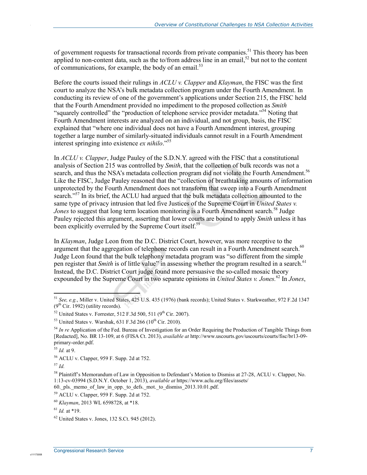of government requests for transactional records from private companies.<sup>51</sup> This theory has been applied to non-content data, such as the to/from address line in an email,<sup>52</sup> but not to the content of communications, for example, the body of an email. $^{53}$ 

Before the courts issued their rulings in *ACLU v. Clapper* and *Klayman*, the FISC was the first court to analyze the NSA's bulk metadata collection program under the Fourth Amendment. In conducting its review of one of the government's applications under Section 215, the FISC held that the Fourth Amendment provided no impediment to the proposed collection as *Smith* "squarely controlled" the "production of telephone service provider metadata."<sup>54</sup> Noting that Fourth Amendment interests are analyzed on an individual, and not group, basis, the FISC explained that "where one individual does not have a Fourth Amendment interest, grouping together a large number of similarly-situated individuals cannot result in a Fourth Amendment interest springing into existence *ex nihilo*."55

In *ACLU v. Clapper*, Judge Pauley of the S.D.N.Y. agreed with the FISC that a constitutional analysis of Section 215 was controlled by *Smith*, that the collection of bulk records was not a search, and thus the NSA's metadata collection program did not violate the Fourth Amendment.<sup>56</sup> Like the FISC, Judge Pauley reasoned that the "collection of breathtaking amounts of information unprotected by the Fourth Amendment does not transform that sweep into a Fourth Amendment search."<sup>57</sup> In its brief, the ACLU had argued that the bulk metadata collection amounted to the same type of privacy intrusion that led five Justices of the Supreme Court in *United States v.*  Jones to suggest that long term location monitoring is a Fourth Amendment search.<sup>58</sup> Judge Pauley rejected this argument, asserting that lower courts are bound to apply *Smith* unless it has been explicitly overruled by the Supreme Court itself.<sup>59</sup>

In *Klayman*, Judge Leon from the D.C. District Court, however, was more receptive to the argument that the aggregation of telephone records can result in a Fourth Amendment search.<sup>60</sup> Judge Leon found that the bulk telephony metadata program was "so different from the simple pen register that *Smith* is of little value" in assessing whether the program resulted in a search.<sup>61</sup> Instead, the D.C. District Court judge found more persuasive the so-called mosaic theory expounded by the Supreme Court in two separate opinions in *United States v. Jones*.<sup>62</sup> In *Jones*,

1

.

<sup>51</sup> *See, e.g.*, Miller v. United States, 425 U.S. 435 (1976) (bank records); United States v. Starkweather, 972 F.2d 1347  $(9<sup>th</sup> Cir. 1992)$  (utility records).

 $52$  United States v. Forrester, 512 F.3d 500, 511 (9<sup>th</sup> Cir. 2007).

 $53$  United States v. Warshak, 631 F.3d 266 (10<sup>th</sup> Cir. 2010).

<sup>54</sup> *In re* Application of the Fed. Bureau of Investigation for an Order Requiring the Production of Tangible Things from [Redacted], No. BR 13-109, at 6 (FISA Ct. 2013), *available at* http://www.uscourts.gov/uscourts/courts/fisc/br13-09 primary-order.pdf.

<sup>55</sup> *Id.* at 9.

<sup>56</sup> ACLU v. Clapper, 959 F. Supp. 2d at 752.

<sup>57</sup> *Id.* 

<sup>&</sup>lt;sup>58</sup> Plaintiff's Memorandum of Law in Opposition to Defendant's Motion to Dismiss at 27-28, ACLU v. Clapper, No. 1:13-cv-03994 (S.D.N.Y. October 1, 2013), *available at* https://www.aclu.org/files/assets/

<sup>60.</sup> pls. memo\_of\_law\_in\_opp. to\_defs.\_mot.\_to\_dismiss\_2013.10.01.pdf.

<sup>59</sup> ACLU v. Clapper, 959 F. Supp. 2d at 752.

<sup>60</sup> *Klayman*, 2013 WL 6598728, at \*18.

 $^{61}$  *Id.* at \*19.

 $62$  United States v. Jones, 132 S.Ct. 945 (2012).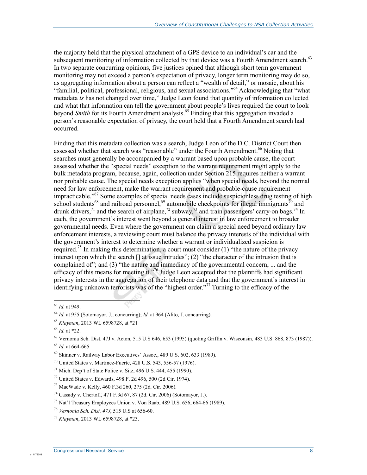the majority held that the physical attachment of a GPS device to an individual's car and the subsequent monitoring of information collected by that device was a Fourth Amendment search.<sup>63</sup> In two separate concurring opinions, five justices opined that although short term government monitoring may not exceed a person's expectation of privacy, longer term monitoring may do so, as aggregating information about a person can reflect a "wealth of detail," or mosaic, about his "familial, political, professional, religious, and sexual associations."64 Acknowledging that "what metadata *is* has not changed over time," Judge Leon found that quantity of information collected and what that information can tell the government about people's lives required the court to look beyond *Smith* for its Fourth Amendment analysis.<sup>65</sup> Finding that this aggregation invaded a person's reasonable expectation of privacy, the court held that a Fourth Amendment search had occurred.

Finding that this metadata collection was a search, Judge Leon of the D.C. District Court then assessed whether that search was "reasonable" under the Fourth Amendment.<sup>66</sup> Noting that searches must generally be accompanied by a warrant based upon probable cause, the court assessed whether the "special needs" exception to the warrant requirement might apply to the bulk metadata program, because, again, collection under Section 215 requires neither a warrant nor probable cause. The special needs exception applies "when special needs, beyond the normal need for law enforcement, make the warrant requirement and probable-cause requirement impracticable."67 Some examples of special needs cases include suspicionless drug testing of high school students<sup>68</sup> and railroad personnel,<sup>69</sup> automobile checkpoints for illegal immigrants<sup>70</sup> and drunk drivers,<sup>71</sup> and the search of airplane,<sup>72</sup> subway,<sup>73</sup> and train passengers' carry-on bags.<sup>74</sup> In each, the government's interest went beyond a general interest in law enforcement to broader governmental needs. Even where the government can claim a special need beyond ordinary law enforcement interests, a reviewing court must balance the privacy interests of the individual with the government's interest to determine whether a warrant or individualized suspicion is required.<sup>75</sup> In making this determination, a court must consider (1) "the nature of the privacy interest upon which the search [] at issue intrudes"; (2) "the character of the intrusion that is complained of"; and (3) "the nature and immediacy of the governmental concern, ... and the efficacy of this means for meeting it."<sup>76</sup> Judge Leon accepted that the plaintiffs had significant privacy interests in the aggregation of their telephone data and that the government's interest in identifying unknown terrorists was of the "highest order."77 Turning to the efficacy of the

1

c11173008

<sup>63</sup> *Id.* at 949.

<sup>64</sup> *Id.* at 955 (Sotomayor, J., concurring); *Id.* at 964 (Alito, J. concurring).

<sup>65</sup> *Klayman*, 2013 WL 6598728, at \*21

<sup>66</sup> *Id.* at \*22.

 $67$  Vernonia Sch. Dist. 47J v. Acton, 515 U.S 646, 653 (1995) (quoting Griffin v. Wisconsin, 483 U.S. 868, 873 (1987)).

<sup>68</sup> *Id.* at 664-665.

<sup>69</sup> Skinner v. Railway Labor Executives' Assoc., 489 U.S. 602, 633 (1989).

<sup>70</sup> United States v. Martinez-Fuerte, 428 U.S. 543, 556-57 (1976).

 $71$  Mich. Dep't of State Police v. Sitz, 496 U.S. 444, 455 (1990).

<sup>72</sup> United States v. Edwards, 498 F. 2d 496, 500 (2d Cir. 1974).

<sup>73</sup> MacWade v. Kelly, 460 F.3d 260, 275 (2d. Cir. 2006).

<sup>74</sup> Cassidy v. Chertoff, 471 F.3d 67, 87 (2d. Cir. 2006) (Sotomayor, J.).

<sup>&</sup>lt;sup>75</sup> Nat'l Treasury Employees Union v. Von Raab, 489 U.S. 656, 664-66 (1989).

<sup>76</sup> *Vernonia Sch. Dist. 47J*, 515 U.S at 656-60.

<sup>77</sup> *Klayman*, 2013 WL 6598728, at \*23.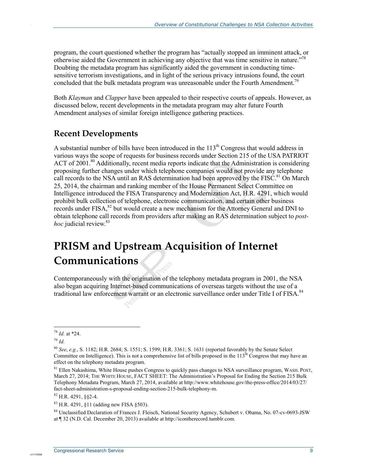program, the court questioned whether the program has "actually stopped an imminent attack, or otherwise aided the Government in achieving any objective that was time sensitive in nature."78 Doubting the metadata program has significantly aided the government in conducting timesensitive terrorism investigations, and in light of the serious privacy intrusions found, the court concluded that the bulk metadata program was unreasonable under the Fourth Amendment.<sup>79</sup>

Both *Klayman* and *Clapper* have been appealed to their respective courts of appeals. However, as discussed below, recent developments in the metadata program may alter future Fourth Amendment analyses of similar foreign intelligence gathering practices.

### **Recent Developments**

A substantial number of bills have been introduced in the  $113<sup>th</sup>$  Congress that would address in various ways the scope of requests for business records under Section 215 of the USA PATRIOT ACT of 2001.<sup>80</sup> Additionally, recent media reports indicate that the Administration is considering proposing further changes under which telephone companies would not provide any telephone call records to the NSA until an RAS determination had been approved by the FISC.<sup>81</sup> On March 25, 2014, the chairman and ranking member of the House Permanent Select Committee on Intelligence introduced the FISA Transparency and Modernization Act, H.R. 4291, which would prohibit bulk collection of telephone, electronic communication, and certain other business records under FISA,<sup>82</sup> but would create a new mechanism for the Attorney General and DNI to obtain telephone call records from providers after making an RAS determination subject to *posthoc* judicial review.<sup>83</sup>

# **PRISM and Upstream Acquisition of Internet Communications**

Contemporaneously with the origination of the telephony metadata program in 2001, the NSA also began acquiring Internet-based communications of overseas targets without the use of a traditional law enforcement warrant or an electronic surveillance order under Title I of FISA.<sup>84</sup>

<u>.</u>

c1117300

<sup>78</sup> *Id.* at \*24.

<sup>79</sup> *Id.* 

<sup>80</sup> *See*, *e.g.*, S. 1182; H.R. 2684; S. 1551; S. 1599; H.R. 3361; S. 1631 (reported favorably by the Senate Select Committee on Intelligence). This is not a comprehensive list of bills proposed in the  $113<sup>th</sup>$  Congress that may have an effect on the telephony metadata program.

<sup>&</sup>lt;sup>81</sup> Ellen Nakashima, White House pushes Congress to quickly pass changes to NSA surveillance program, WASH. POST, March 27, 2014; THE WHITE HOUSE, FACT SHEET: The Administration's Proposal for Ending the Section 215 Bulk Telephony Metadata Program, March 27, 2014, available at http://www.whitehouse.gov/the-press-office/2014/03/27/ fact-sheet-administration-s-proposal-ending-section-215-bulk-telephony-m.

<sup>82</sup> H.R. 4291, §§2-4.

<sup>83</sup> H.R. 4291, §11 (adding new FISA §503).

<sup>84</sup> Unclassified Declaration of Frances J. Fleisch, National Security Agency, Schubert v. Obama, No. 07-cv-0693-JSW at ¶ 32 (N.D. Cal. December 20, 2013) available at http://icontherecord.tumblr.com.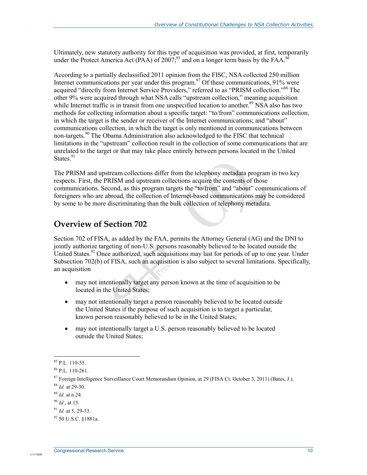Ultimately, new statutory authority for this type of acquisition was provided, at first, temporarily under the Protect America Act (PAA) of 2007;<sup>85</sup> and on a longer term basis by the FAA.<sup>86</sup>

According to a partially declassified 2011 opinion from the FISC, NSA collected 250 million Internet communications per year under this program.<sup>87</sup> Of these communications, 91% were acquired "directly from Internet Service Providers," referred to as "PRISM collection."<sup>88</sup> The other 9% were acquired through what NSA calls "upstream collection," meaning acquisition while Internet traffic is in transit from one unspecified location to another.<sup>89</sup> NSA also has two methods for collecting information about a specific target: "to/from" communications collection, in which the target is the sender or receiver of the Internet communications; and "about" communications collection, in which the target is only mentioned in communications between non-targets.<sup>90</sup> The Obama Administration also acknowledged to the FISC that technical limitations in the "upstream" collection result in the collection of some communications that are unrelated to the target or that may take place entirely between persons located in the United States. $91$ 

The PRISM and upstream collections differ from the telephony metadata program in two key respects. First, the PRISM and upstream collections acquire the contents of those communications. Second, as this program targets the "to/from" and "about" communications of foreigners who are abroad, the collection of Internet-based communications may be considered by some to be more discriminating than the bulk collection of telephony metadata.

#### **Overview of Section 702**

Section 702 of FISA, as added by the FAA, permits the Attorney General (AG) and the DNI to jointly authorize targeting of non-U.S. persons reasonably believed to be located outside the United States.<sup>92</sup> Once authorized, such acquisitions may last for periods of up to one year. Under Subsection 702(b) of FISA, such an acquisition is also subject to several limitations. Specifically, an acquisition

- may not intentionally target any person known at the time of acquisition to be located in the United States;
- may not intentionally target a person reasonably believed to be located outside the United States if the purpose of such acquisition is to target a particular, known person reasonably believed to be in the United States;
- may not intentionally target a U.S. person reasonably believed to be located outside the United States;

1

c11173008

<sup>85</sup> P.L. 110-55.

 $86$  P.L. 110-261.

<sup>87</sup> Foreign Intelligence Surveillance Court Memorandum Opinion, at 29 (FISA Ct. October 3, 2011) (Bates, J.).

<sup>88</sup> *Id.* at 29-30.

<sup>89</sup> *Id*. at n.24.

<sup>90</sup> *Id*., at 15.

<sup>91</sup> *Id.* at 5, 29-33.

<sup>92 50</sup> U.S.C. §1881a.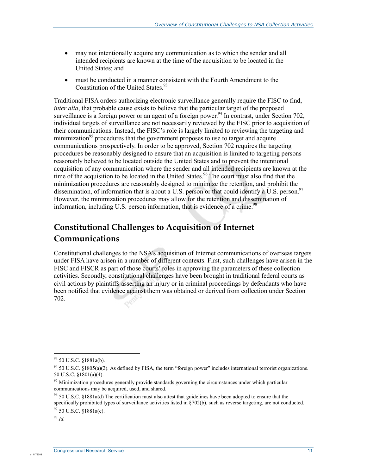- may not intentionally acquire any communication as to which the sender and all intended recipients are known at the time of the acquisition to be located in the United States; and
- must be conducted in a manner consistent with the Fourth Amendment to the Constitution of the United States  $93$

Traditional FISA orders authorizing electronic surveillance generally require the FISC to find, *inter alia*, that probable cause exists to believe that the particular target of the proposed surveillance is a foreign power or an agent of a foreign power.<sup>94</sup> In contrast, under Section 702, individual targets of surveillance are not necessarily reviewed by the FISC prior to acquisition of their communications. Instead, the FISC's role is largely limited to reviewing the targeting and minimization<sup>95</sup> procedures that the government proposes to use to target and acquire communications prospectively. In order to be approved, Section 702 requires the targeting procedures be reasonably designed to ensure that an acquisition is limited to targeting persons reasonably believed to be located outside the United States and to prevent the intentional acquisition of any communication where the sender and all intended recipients are known at the time of the acquisition to be located in the United States.<sup>96</sup> The court must also find that the minimization procedures are reasonably designed to minimize the retention, and prohibit the dissemination, of information that is about a U.S. person or that could identify a U.S. person.<sup>97</sup> However, the minimization procedures may allow for the retention and dissemination of information, including U.S. person information, that is evidence of a crime.<sup>98</sup>

### **Constitutional Challenges to Acquisition of Internet Communications**

Constitutional challenges to the NSA's acquisition of Internet communications of overseas targets under FISA have arisen in a number of different contexts. First, such challenges have arisen in the FISC and FISCR as part of those courts' roles in approving the parameters of these collection activities. Secondly, constitutional challenges have been brought in traditional federal courts as civil actions by plaintiffs asserting an injury or in criminal proceedings by defendants who have been notified that evidence against them was obtained or derived from collection under Section 702.

<sup>98</sup> *Id.* 

c1117300

1

<sup>93 50</sup> U.S.C. §1881a(b).

 $94$  50 U.S.C. §1805(a)(2). As defined by FISA, the term "foreign power" includes international terrorist organizations. 50 U.S.C. §1801(a)(4).

<sup>&</sup>lt;sup>95</sup> Minimization procedures generally provide standards governing the circumstances under which particular communications may be acquired, used, and shared.

 $96$  50 U.S.C. §1881a(d) The certification must also attest that guidelines have been adopted to ensure that the specifically prohibited types of surveillance activities listed in §702(b), such as reverse targeting, are not conducted.

 $97$  50 U.S.C. §1881a(e).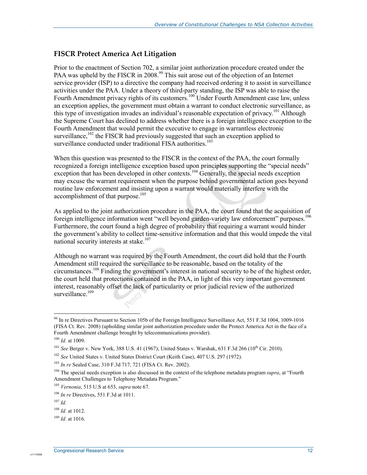#### **FISCR Protect America Act Litigation**

Prior to the enactment of Section 702, a similar joint authorization procedure created under the PAA was upheld by the FISCR in 2008.<sup>99</sup> This suit arose out of the objection of an Internet service provider (ISP) to a directive the company had received ordering it to assist in surveillance activities under the PAA. Under a theory of third-party standing, the ISP was able to raise the Fourth Amendment privacy rights of its customers.<sup>100</sup> Under Fourth Amendment case law, unless an exception applies, the government must obtain a warrant to conduct electronic surveillance, as this type of investigation invades an individual's reasonable expectation of privacy.<sup>101</sup> Although the Supreme Court has declined to address whether there is a foreign intelligence exception to the Fourth Amendment that would permit the executive to engage in warrantless electronic surveillance,<sup>102</sup> the FISCR had previously suggested that such an exception applied to surveillance conducted under traditional FISA authorities.<sup>103</sup>

When this question was presented to the FISCR in the context of the PAA, the court formally recognized a foreign intelligence exception based upon principles supporting the "special needs" exception that has been developed in other contexts.<sup>104</sup> Generally, the special needs exception may excuse the warrant requirement when the purpose behind governmental action goes beyond routine law enforcement and insisting upon a warrant would materially interfere with the accomplishment of that purpose.<sup>105</sup>

As applied to the joint authorization procedure in the PAA, the court found that the acquisition of foreign intelligence information went "well beyond garden-variety law enforcement" purposes.<sup>106</sup> Furthermore, the court found a high degree of probability that requiring a warrant would hinder the government's ability to collect time-sensitive information and that this would impede the vital national security interests at stake.<sup>107</sup>

Although no warrant was required by the Fourth Amendment, the court did hold that the Fourth Amendment still required the surveillance to be reasonable, based on the totality of the circumstances.108 Finding the government's interest in national security to be of the highest order, the court held that protections contained in the PAA, in light of this very important government interest, reasonably offset the lack of particularity or prior judicial review of the authorized surveillance.<sup>109</sup>

<u>.</u>

.

<sup>99</sup> In re Directives Pursuant to Section 105b of the Foreign Intelligence Surveillance Act, 551 F.3d 1004, 1009-1016 (FISA Ct. Rev. 2008) (upholding similar joint authorization procedure under the Protect America Act in the face of a Fourth Amendment challenge brought by telecommunications provider).

<sup>100</sup> *Id.* at 1009.

<sup>&</sup>lt;sup>101</sup> *See* Berger v. New York, 388 U.S. 41 (1967); United States v. Warshak, 631 F.3d 266 (10<sup>th</sup> Cir. 2010).

<sup>102</sup> *See* United States v. United States District Court (Keith Case), 407 U.S. 297 (1972).

<sup>103</sup> *In re* Sealed Case, 310 F.3d 717, 721 (FISA Ct. Rev. 2002).

<sup>104</sup> The special needs exception is also discussed in the context of the telephone metadata program *supra*, at "Fourth Amendment Challenges to Telephony Metadata Program."

<sup>105</sup> *Vernonia*, 515 U.S at 653, *supra* note 67.

<sup>106</sup> *In re* Directives, 551 F.3d at 1011.

 $107$  *Id.* 

<sup>108</sup> *Id.* at 1012.

 $109$  *Id.* at 1016.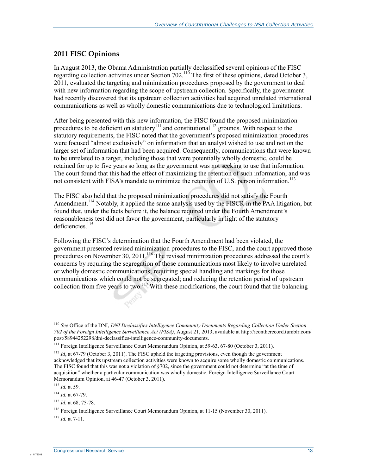#### **2011 FISC Opinions**

.

In August 2013, the Obama Administration partially declassified several opinions of the FISC regarding collection activities under Section 702.<sup>110</sup> The first of these opinions, dated October 3, 2011, evaluated the targeting and minimization procedures proposed by the government to deal with new information regarding the scope of upstream collection. Specifically, the government had recently discovered that its upstream collection activities had acquired unrelated international communications as well as wholly domestic communications due to technological limitations.

After being presented with this new information, the FISC found the proposed minimization procedures to be deficient on statutory<sup>111</sup> and constitutional<sup>112</sup> grounds. With respect to the statutory requirements, the FISC noted that the government's proposed minimization procedures were focused "almost exclusively" on information that an analyst wished to use and not on the larger set of information that had been acquired. Consequently, communications that were known to be unrelated to a target, including those that were potentially wholly domestic, could be retained for up to five years so long as the government was not seeking to use that information. The court found that this had the effect of maximizing the retention of such information, and was not consistent with FISA's mandate to minimize the retention of U.S. person information.<sup>113</sup>

The FISC also held that the proposed minimization procedures did not satisfy the Fourth Amendment.<sup>114</sup> Notably, it applied the same analysis used by the FISCR in the PAA litigation, but found that, under the facts before it, the balance required under the Fourth Amendment's reasonableness test did not favor the government, particularly in light of the statutory deficiencies. $115$ 

Following the FISC's determination that the Fourth Amendment had been violated, the government presented revised minimization procedures to the FISC, and the court approved those procedures on November 30, 2011.<sup>116</sup> The revised minimization procedures addressed the court's concerns by requiring the segregation of those communications most likely to involve unrelated or wholly domestic communications; requiring special handling and markings for those communications which could not be segregated; and reducing the retention period of upstream collection from five years to two.<sup>117</sup> With these modifications, the court found that the balancing

<u>.</u>

<sup>110</sup> *See* Office of the DNI, *DNI Declassifies Intelligence Community Documents Regarding Collection Under Section 702 of the Foreign Intelligence Surveillance Act (FISA)*, August 21, 2013, available at http://icontherecord.tumblr.com/ post/58944252298/dni-declassifies-intelligence-community-documents.

<sup>&</sup>lt;sup>111</sup> Foreign Intelligence Surveillance Court Memorandum Opinion, at 59-63, 67-80 (October 3, 2011).

<sup>&</sup>lt;sup>112</sup> *Id*, at 67-79 (October 3, 2011). The FISC upheld the targeting provisions, even though the government acknowledged that its upstream collection activities were known to acquire some wholly domestic communications. The FISC found that this was not a violation of §702, since the government could not determine "at the time of acquisition" whether a particular communication was wholly domestic. Foreign Intelligence Surveillance Court Memorandum Opinion, at 46-47 (October 3, 2011).

<sup>113</sup> *Id.* at 59.

<sup>114</sup> *Id.* at 67-79.

<sup>115</sup> *Id.* at 68, 75-78.

<sup>116</sup> Foreign Intelligence Surveillance Court Memorandum Opinion, at 11-15 (November 30, 2011).

<sup>117</sup> *Id.* at 7-11.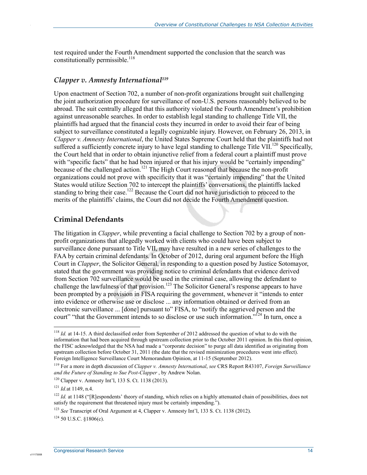test required under the Fourth Amendment supported the conclusion that the search was constitutionally permissible. $^{118}$ 

#### *Clapper v. Amnesty International119*

Upon enactment of Section 702, a number of non-profit organizations brought suit challenging the joint authorization procedure for surveillance of non-U.S. persons reasonably believed to be abroad. The suit centrally alleged that this authority violated the Fourth Amendment's prohibition against unreasonable searches. In order to establish legal standing to challenge Title VII, the plaintiffs had argued that the financial costs they incurred in order to avoid their fear of being subject to surveillance constituted a legally cognizable injury. However, on February 26, 2013, in *Clapper v. Amnesty International*, the United States Supreme Court held that the plaintiffs had not suffered a sufficiently concrete injury to have legal standing to challenge Title VII.<sup>120</sup> Specifically, the Court held that in order to obtain injunctive relief from a federal court a plaintiff must prove with "specific facts" that he had been injured or that his injury would be "certainly impending" because of the challenged action.<sup>121</sup> The High Court reasoned that because the non-profit organizations could not prove with specificity that it was "certainly impending" that the United States would utilize Section 702 to intercept the plaintiffs' conversations, the plaintiffs lacked standing to bring their case.<sup>122</sup> Because the Court did not have jurisdiction to proceed to the merits of the plaintiffs' claims, the Court did not decide the Fourth Amendment question.

#### **Criminal Defendants**

The litigation in *Clapper*, while preventing a facial challenge to Section 702 by a group of nonprofit organizations that allegedly worked with clients who could have been subject to surveillance done pursuant to Title VII, may have resulted in a new series of challenges to the FAA by certain criminal defendants. In October of 2012, during oral argument before the High Court in *Clapper*, the Solicitor General, in responding to a question posed by Justice Sotomayor, stated that the government was providing notice to criminal defendants that evidence derived from Section 702 surveillance would be used in the criminal case, allowing the defendant to challenge the lawfulness of that provision.<sup>123</sup> The Solicitor General's response appears to have been prompted by a provision in FISA requiring the government, whenever it "intends to enter into evidence or otherwise use or disclose ... any information obtained or derived from an electronic surveillance ... [done] pursuant to" FISA, to "notify the aggrieved person and the court" "that the Government intends to so disclose or use such information."<sup>124</sup> In turn, once a

<u>.</u>

c1117300

<sup>&</sup>lt;sup>118</sup> *Id.* at 14-15. A third declassified order from September of 2012 addressed the question of what to do with the information that had been acquired through upstream collection prior to the October 2011 opinion. In this third opinion, the FISC acknowledged that the NSA had made a "corporate decision" to purge all data identified as originating from upstream collection before October 31, 2011 (the date that the revised minimization procedures went into effect). Foreign Intelligence Surveillance Court Memorandum Opinion, at 11-15 (September 2012).

<sup>119</sup> For a more in depth discussion of *Clapper v. Amnesty International*, *see* CRS Report R43107, *Foreign Surveillance and the Future of Standing to Sue Post-Clapper* , by Andrew Nolan.

<sup>120</sup> Clapper v. Amnesty Int'l, 133 S. Ct. 1138 (2013).

<sup>121</sup> *Id.*at 1149, n.4.

<sup>&</sup>lt;sup>122</sup> *Id.* at 1148 ("[R]espondents' theory of standing, which relies on a highly attenuated chain of possibilities, does not satisfy the requirement that threatened injury must be certainly impending.").

<sup>123</sup> *See* Transcript of Oral Argument at 4, Clapper v. Amnesty Int'l, 133 S. Ct. 1138 (2012).

 $124$  50 U.S.C.  $$1806(c)$ .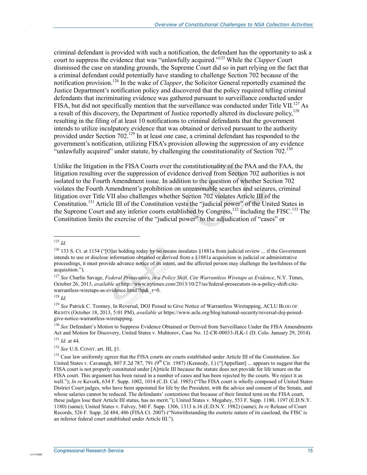criminal defendant is provided with such a notification, the defendant has the opportunity to ask a court to suppress the evidence that was "unlawfully acquired."125 While the *Clapper* Court dismissed the case on standing grounds, the Supreme Court did so in part relying on the fact that a criminal defendant could potentially have standing to challenge Section 702 because of the notification provision.126 In the wake of *Clapper*, the Solicitor General reportedly examined the Justice Department's notification policy and discovered that the policy required telling criminal defendants that incriminating evidence was gathered pursuant to surveillance conducted under FISA, but did not specifically mention that the surveillance was conducted under Title VII.<sup>127</sup> As a result of this discovery, the Department of Justice reportedly altered its disclosure policy,<sup>128</sup> resulting in the filing of at least 10 notifications to criminal defendants that the government intends to utilize inculpatory evidence that was obtained or derived pursuant to the authority provided under Section  $702^{129}$  In at least one case, a criminal defendant has responded to the government's notification, utilizing FISA's provision allowing the suppression of any evidence "unlawfully acquired" under statute, by challenging the constitutionality of Section 702.<sup>130</sup>

Unlike the litigation in the FISA Courts over the constitutionality of the PAA and the FAA, the litigation resulting over the suppression of evidence derived from Section 702 authorities is not isolated to the Fourth Amendment issue. In addition to the question of whether Section 702 violates the Fourth Amendment's prohibition on unreasonable searches and seizures, criminal litigation over Title VII also challenges whether Section 702 violates Article III of the Constitution.<sup>131</sup> Article III of the Constitution vests the "judicial power" of the United States in the Supreme Court and any inferior courts established by Congress,<sup>132</sup> including the FISC.<sup>133</sup> The Constitution limits the exercise of the "judicial power" to the adjudication of "cases" or

1

.

<sup>130</sup> *See* Defendant's Motion to Suppress Evidence Obtained or Derived from Surveillance Under the FISA Amendments Act and Motion for Discovery, United States v. Muhtorov, Case No. 12-CR-00033-JLK-1 (D. Colo. January 29, 2014). <sup>131</sup> *Id.* at 44.

<sup>125</sup> *Id.*

<sup>&</sup>lt;sup>126</sup> 133 S. Ct. at 1154 ("[O]ur holding today by no means insulates §1881a from judicial review ... if the Government intends to use or disclose information obtained or derived from a §1881a acquisition in judicial or administrative proceedings, it must provide advance notice of its intent, and the affected person may challenge the lawfulness of the acquisition.").

<sup>127</sup> *See* Charlie Savage, *Federal Prosecutors, in a Policy Shift, Cite Warrantless Wiretaps as Evidence*, N.Y. Times, October 26, 2013, *available at* http://www.nytimes.com/2013/10/27/us/federal-prosecutors-in-a-policy-shift-citewarrantless-wiretaps-as-evidence.html?hp&r=0.

 $128$  *Id.* 

<sup>&</sup>lt;sup>129</sup> See Patrick C. Toomey, In Reversal, DOJ Poised to Give Notice of Warrantless Wiretapping, ACLU BLOG OF RIGHTS (October 18, 2013, 5:01 PM), *available at* https://www.aclu.org/blog/national-security/reversal-doj-poisedgive-notice-warrantless-wiretapping.

<sup>132</sup> *See* U.S. CONST. art. III, §1.

<sup>133</sup> Case law uniformly agrees that the FISA courts are courts established under Article III of the Constitution. *See* United States v. Cavanagh, 807 F.2d 787, 791 ( $9<sup>th</sup>$  Cir. 1987) (Kennedy, J.) ("[Appellant] ... appears to suggest that the FISA court is not properly constituted under [A]rticle III because the statute does not provide for life tenure on the FISA court. This argument has been raised in a number of cases and has been rejected by the courts. We reject it as well."); *In re* Kevork, 634 F. Supp. 1002, 1014 (C.D. Cal. 1985) ("The FISA court is wholly composed of United States District Court judges, who have been appointed for life by the President, with the advice and consent of the Senate, and whose salaries cannot be reduced. The defendants' contentions that because of their limited term on the FISA court, these judges lose their Article III status, has no merit."); United States v. Megahey, 553 F. Supp. 1180, 1197 (E.D.N.Y. 1180) (same); United States v. Falvey, 540 F. Supp. 1306, 1313 n.16 (E.D.N.Y. 1982) (same); *In re* Release of Court Records, 526 F. Supp. 2d 484, 486 (FISA Ct. 2007) ("Notwithstanding the esoteric nature of its caseload, the FISC is an inferior federal court established under Article III.").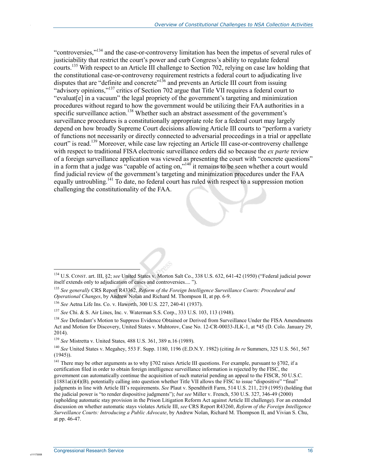"controversies,"134 and the case-or-controversy limitation has been the impetus of several rules of justiciability that restrict the court's power and curb Congress's ability to regulate federal courts.135 With respect to an Article III challenge to Section 702, relying on case law holding that the constitutional case-or-controversy requirement restricts a federal court to adjudicating live disputes that are "definite and concrete"<sup>136</sup> and prevents an Article III court from issuing "advisory opinions,"137 critics of Section 702 argue that Title VII requires a federal court to "evaluat[e] in a vacuum" the legal propriety of the government's targeting and minimization procedures without regard to how the government would be utilizing their FAA authorities in a specific surveillance action.<sup>138</sup> Whether such an abstract assessment of the government's surveillance procedures is a constitutionally appropriate role for a federal court may largely depend on how broadly Supreme Court decisions allowing Article III courts to "perform a variety of functions not necessarily or directly connected to adversarial proceedings in a trial or appellate court" is read.<sup>139</sup> Moreover, while case law rejecting an Article III case-or-controversy challenge with respect to traditional FISA electronic surveillance orders did so because the *ex parte* review of a foreign surveillance application was viewed as presenting the court with "concrete questions" in a form that a judge was "capable of acting on,"<sup>140</sup> it remains to be seen whether a court would find judicial review of the government's targeting and minimization procedures under the FAA equally untroubling.<sup>141</sup> To date, no federal court has ruled with respect to a suppression motion challenging the constitutionality of the FAA.

c1117300

1

<sup>134</sup> U.S. CONST. art. III, §2; *see* United States v. Morton Salt Co., 338 U.S. 632, 641-42 (1950) ("Federal judicial power itself extends only to adjudication of cases and controversies.... ").

<sup>135</sup> *See generally* CRS Report R43362, *Reform of the Foreign Intelligence Surveillance Courts: Procedural and Operational Changes*, by Andrew Nolan and Richard M. Thompson II, at pp. 6-9.

<sup>136</sup> *See* Aetna Life Ins. Co. v. Haworth, 300 U.S. 227, 240-41 (1937).

<sup>137</sup> *See* Chi. & S. Air Lines, Inc. v. Waterman S.S. Corp., 333 U.S. 103, 113 (1948).

<sup>&</sup>lt;sup>138</sup> See Defendant's Motion to Suppress Evidence Obtained or Derived from Surveillance Under the FISA Amendments Act and Motion for Discovery, United States v. Muhtorov, Case No. 12-CR-00033-JLK-1, at \*45 (D. Colo. January 29, 2014).

<sup>139</sup> *See* Mistretta v. United States*,* 488 U.S. 361, 389 n.16 (1989).

<sup>140</sup> *See* United States v. Megahey, 553 F. Supp. 1180, 1196 (E.D.N.Y. 1982) (citing *In re* Summers, 325 U.S. 561, 567 (1945)).

<sup>&</sup>lt;sup>141</sup> There may be other arguments as to why  $\S702$  raises Article III questions. For example, pursuant to  $\S702$ , if a certification filed in order to obtain foreign intelligence surveillance information is rejected by the FISC, the government can automatically continue the acquisition of such material pending an appeal to the FISCR, 50 U.S.C. §1881a(i)(4)(B)*,* potentially calling into question whether Title VII allows the FISC to issue "dispositive" "final" judgments in line with Article III's requirements. *See* Plaut v. Spendthrift Farm, 514 U.S. 211, 219 (1995) (holding that the judicial power is "to render dispositive judgments"); *but see* Miller v. French, 530 U.S. 327, 346-49 (2000) (upholding automatic stay provision in the Prison Litigation Reform Act against Article III challenge). For an extended discussion on whether automatic stays violates Article III, *see* CRS Report R43260, *Reform of the Foreign Intelligence Surveillance Courts: Introducing a Public Advocate*, by Andrew Nolan, Richard M. Thompson II, and Vivian S. Chu, at pp. 46-47.